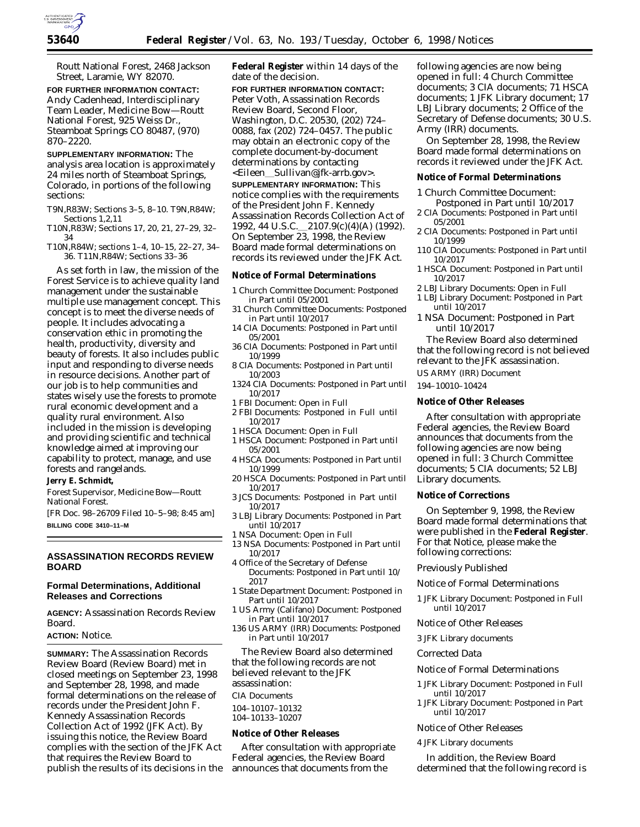Routt National Forest, 2468 Jackson Street, Laramie, WY 82070.

**FOR FURTHER INFORMATION CONTACT:** Andy Cadenhead, Interdisciplinary Team Leader, Medicine Bow—Routt National Forest, 925 Weiss Dr., Steamboat Springs CO 80487, (970) 870–2220.

**SUPPLEMENTARY INFORMATION:** The analysis area location is approximately 24 miles north of Steamboat Springs, Colorado, in portions of the following sections:

- T9N,R83W; Sections 3–5, 8–10. T9N,R84W; Sections 1,2,11
- T10N,R83W; Sections 17, 20, 21, 27–29, 32– 34
- T10N,R84W; sections 1–4, 10–15, 22–27, 34– 36. T11N,R84W; Sections 33–36

As set forth in law, the mission of the Forest Service is to achieve quality land management under the sustainable multiple use management concept. This concept is to meet the diverse needs of people. It includes advocating a conservation ethic in promoting the health, productivity, diversity and beauty of forests. It also includes public input and responding to diverse needs in resource decisions. Another part of our job is to help communities and states wisely use the forests to promote rural economic development and a quality rural environment. Also included in the mission is developing and providing scientific and technical knowledge aimed at improving our capability to protect, manage, and use forests and rangelands.

## **Jerry E. Schmidt,**

*Forest Supervisor, Medicine Bow—Routt National Forest.*

[FR Doc. 98–26709 Filed 10–5–98; 8:45 am] **BILLING CODE 3410–11–M**

# **ASSASSINATION RECORDS REVIEW BOARD**

# **Formal Determinations, Additional Releases and Corrections**

**AGENCY:** Assassination Records Review Board.

## **ACTION:** Notice.

**SUMMARY:** The Assassination Records Review Board (Review Board) met in closed meetings on September 23, 1998 and September 28, 1998, and made formal determinations on the release of records under the President John F. Kennedy Assassination Records Collection Act of 1992 (JFK Act). By issuing this notice, the Review Board complies with the section of the JFK Act that requires the Review Board to publish the results of its decisions in the **Federal Register** within 14 days of the date of the decision.

**FOR FURTHER INFORMATION CONTACT:** Peter Voth, Assassination Records Review Board, Second Floor, Washington, D.C. 20530, (202) 724– 0088, fax (202) 724–0457. The public may obtain an electronic copy of the complete document-by-document determinations by contacting <Eileen\_Sullivan@jfk-arrb.gov>. **SUPPLEMENTARY INFORMATION:** This notice complies with the requirements of the President John F. Kennedy Assassination Records Collection Act of 1992, 44 U.S.C. 2107.9(c)(4)(A) (1992). On September 23, 1998, the Review Board made formal determinations on records its reviewed under the JFK Act.

#### **Notice of Formal Determinations**

- 1 Church Committee Document: Postponed in Part until 05/2001
- 31 Church Committee Documents: Postponed in Part until 10/2017
- 14 CIA Documents: Postponed in Part until 05/2001
- 36 CIA Documents: Postponed in Part until 10/1999
- 8 CIA Documents: Postponed in Part until 10/2003
- 1324 CIA Documents: Postponed in Part until 10/2017
- 1 FBI Document: Open in Full
- 2 FBI Documents: Postponed in Full until 10/2017
- 1 HSCA Document: Open in Full
- 1 HSCA Document: Postponed in Part until 05/2001
- 4 HSCA Documents: Postponed in Part until 10/1999
- 20 HSCA Documents: Postponed in Part until 10/2017
- 3 JCS Documents: Postponed in Part until 10/2017
- 3 LBJ Library Documents: Postponed in Part until 10/2017
- 1 NSA Document: Open in Full
- 13 NSA Documents: Postponed in Part until 10/2017
- 4 Office of the Secretary of Defense Documents: Postponed in Part until 10/ 2017
- 1 State Department Document: Postponed in Part until 10/2017
- 1 US Army (Califano) Document: Postponed in Part until 10/2017
- 136 US ARMY (IRR) Documents: Postponed in Part until 10/2017

The Review Board also determined that the following records are not believed relevant to the JFK assassination:

CIA Documents

104–10107–10132 104–10133–10207

# **Notice of Other Releases**

After consultation with appropriate Federal agencies, the Review Board announces that documents from the

following agencies are now being opened in full: 4 Church Committee documents; 3 CIA documents; 71 HSCA documents; 1 JFK Library document; 17 LBJ Library documents; 2 Office of the Secretary of Defense documents; 30 U.S. Army (IRR) documents.

On September 28, 1998, the Review Board made formal determinations on records it reviewed under the JFK Act.

# **Notice of Formal Determinations**

1 Church Committee Document:

- Postponed in Part until 10/2017 2 CIA Documents: Postponed in Part until 05/2001
- 2 CIA Documents: Postponed in Part until 10/1999
- 110 CIA Documents: Postponed in Part until 10/2017
- 1 HSCA Document: Postponed in Part until 10/2017
- 2 LBJ Library Documents: Open in Full
- 1 LBJ Library Document: Postponed in Part until 10/2017
- 1 NSA Document: Postponed in Part until 10/2017

The Review Board also determined that the following record is not believed relevant to the JFK assassination.

US ARMY (IRR) Document

194–10010–10424

## **Notice of Other Releases**

After consultation with appropriate Federal agencies, the Review Board announces that documents from the following agencies are now being opened in full: 3 Church Committee documents; 5 CIA documents; 52 LBJ Library documents.

## **Notice of Corrections**

On September 9, 1998, the Review Board made formal determinations that were published in the **Federal Register**. For that Notice, please make the following corrections:

## *Previously Published*

Notice of Formal Determinations

- 1 JFK Library Document: Postponed in Full until 10/2017
- Notice of Other Releases
- 3 JFK Library documents

## *Corrected Data*

- Notice of Formal Determinations
- 1 JFK Library Document: Postponed in Full until 10/2017
- 1 JFK Library Document: Postponed in Part until 10/2017

## Notice of Other Releases

4 JFK Library documents

In addition, the Review Board determined that the following record is